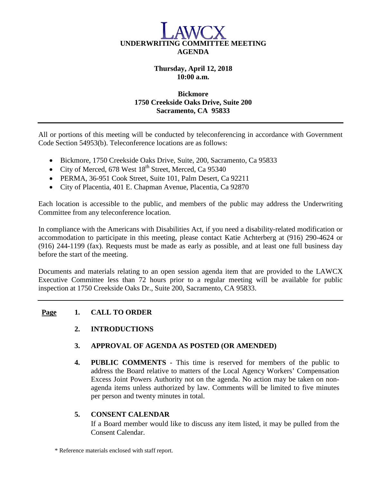

# **Thursday, April 12, 2018 10:00 a.m.**

## **Bickmore 1750 Creekside Oaks Drive, Suite 200 Sacramento, CA 95833**

All or portions of this meeting will be conducted by teleconferencing in accordance with Government Code Section 54953(b). Teleconference locations are as follows:

- Bickmore, 1750 Creekside Oaks Drive, Suite, 200, Sacramento, Ca 95833
- City of Merced, 678 West  $18<sup>th</sup>$  Street, Merced, Ca 95340
- PERMA, 36-951 Cook Street, Suite 101, Palm Desert, Ca 92211
- City of Placentia, 401 E. Chapman Avenue, Placentia, Ca 92870

Each location is accessible to the public, and members of the public may address the Underwriting Committee from any teleconference location.

In compliance with the Americans with Disabilities Act, if you need a disability-related modification or accommodation to participate in this meeting, please contact Katie Achterberg at (916) 290-4624 or (916) 244-1199 (fax). Requests must be made as early as possible, and at least one full business day before the start of the meeting.

Documents and materials relating to an open session agenda item that are provided to the LAWCX Executive Committee less than 72 hours prior to a regular meeting will be available for public inspection at 1750 Creekside Oaks Dr., Suite 200, Sacramento, CA 95833.

# **Page 1. CALL TO ORDER**

- **2. INTRODUCTIONS**
- **3. APPROVAL OF AGENDA AS POSTED (OR AMENDED)**
- **4. PUBLIC COMMENTS** This time is reserved for members of the public to address the Board relative to matters of the Local Agency Workers' Compensation Excess Joint Powers Authority not on the agenda. No action may be taken on nonagenda items unless authorized by law. Comments will be limited to five minutes per person and twenty minutes in total.

# **5. CONSENT CALENDAR**

If a Board member would like to discuss any item listed, it may be pulled from the Consent Calendar.

<sup>\*</sup> Reference materials enclosed with staff report.